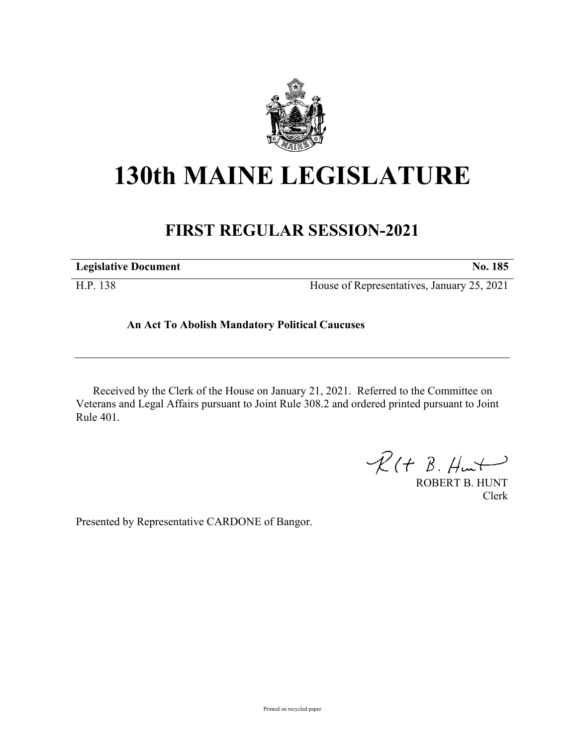

# **130th MAINE LEGISLATURE**

## **FIRST REGULAR SESSION-2021**

| <b>Legislative Document</b> | No. 185                                    |
|-----------------------------|--------------------------------------------|
| H.P. 138                    | House of Representatives, January 25, 2021 |

### **An Act To Abolish Mandatory Political Caucuses**

Received by the Clerk of the House on January 21, 2021. Referred to the Committee on Veterans and Legal Affairs pursuant to Joint Rule 308.2 and ordered printed pursuant to Joint Rule 401.

 $R(H B. H<sub>un</sub>+)$ 

ROBERT B. HUNT Clerk

Presented by Representative CARDONE of Bangor.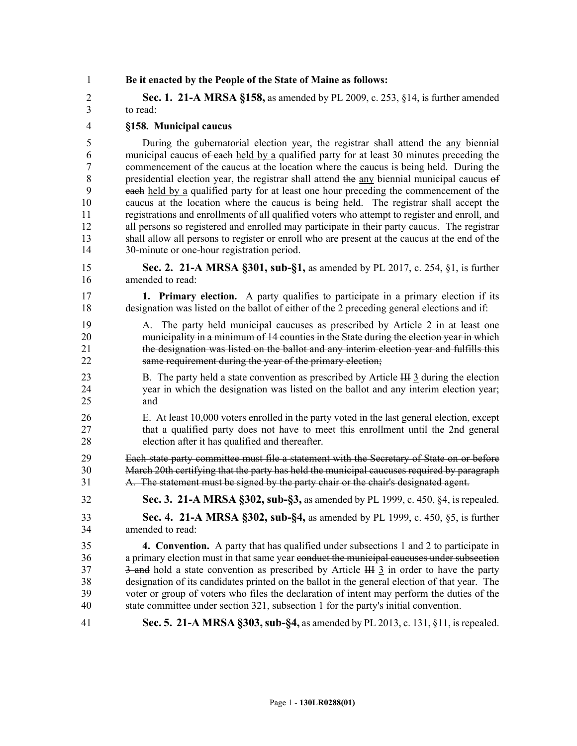1 **Be it enacted by the People of the State of Maine as follows:**

2 **Sec. 1. 21-A MRSA §158,** as amended by PL 2009, c. 253, §14, is further amended 3 to read:

#### 4 **§158. Municipal caucus**

5 During the gubernatorial election year, the registrar shall attend the any biennial 6 municipal caucus of each held by a qualified party for at least 30 minutes preceding the 7 commencement of the caucus at the location where the caucus is being held. During the 8 presidential election year, the registrar shall attend the any biennial municipal caucus of 9 each held by a qualified party for at least one hour preceding the commencement of the 10 caucus at the location where the caucus is being held. The registrar shall accept the 11 registrations and enrollments of all qualified voters who attempt to register and enroll, and 12 all persons so registered and enrolled may participate in their party caucus. The registrar 13 shall allow all persons to register or enroll who are present at the caucus at the end of the 14 30-minute or one-hour registration period.

15 **Sec. 2. 21-A MRSA §301, sub-§1,** as amended by PL 2017, c. 254, §1, is further 16 amended to read:

17 **1. Primary election.** A party qualifies to participate in a primary election if its 18 designation was listed on the ballot of either of the 2 preceding general elections and if:

19 A. The party held municipal caucuses as prescribed by Article 2 in at least one 20 municipality in a minimum of 14 counties in the State during the election year in which 21 the designation was listed on the ballot and any interim election year and fulfills this 22 same requirement during the year of the primary election;

23 B. The party held a state convention as prescribed by Article III 3 during the election 24 year in which the designation was listed on the ballot and any interim election year; 25 and

26 E. At least 10,000 voters enrolled in the party voted in the last general election, except 27 that a qualified party does not have to meet this enrollment until the 2nd general 28 election after it has qualified and thereafter.

29 Each state party committee must file a statement with the Secretary of State on or before 30 March 20th certifying that the party has held the municipal caucuses required by paragraph 31 A. The statement must be signed by the party chair or the chair's designated agent.

32 **Sec. 3. 21-A MRSA §302, sub-§3,** as amended by PL 1999, c. 450, §4, is repealed.

33 **Sec. 4. 21-A MRSA §302, sub-§4,** as amended by PL 1999, c. 450, §5, is further 34 amended to read:

35 **4. Convention.** A party that has qualified under subsections 1 and 2 to participate in 36 a primary election must in that same year conduct the municipal caucuses under subsection 37 3-and hold a state convention as prescribed by Article III 3 in order to have the party 38 designation of its candidates printed on the ballot in the general election of that year. The 39 voter or group of voters who files the declaration of intent may perform the duties of the 40 state committee under section 321, subsection 1 for the party's initial convention.

41 **Sec. 5. 21-A MRSA §303, sub-§4,** as amended by PL 2013, c. 131, §11, is repealed.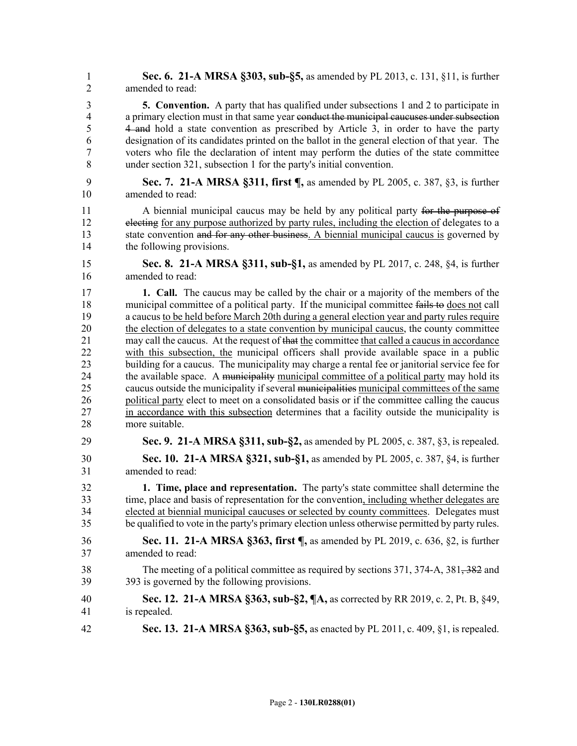1 **Sec. 6. 21-A MRSA §303, sub-§5,** as amended by PL 2013, c. 131, §11, is further 2 amended to read:

3 **5. Convention.** A party that has qualified under subsections 1 and 2 to participate in 4 a primary election must in that same year conduct the municipal caucuses under subsection 5 4 and hold a state convention as prescribed by Article 3, in order to have the party 6 designation of its candidates printed on the ballot in the general election of that year. The 7 voters who file the declaration of intent may perform the duties of the state committee 8 under section 321, subsection 1 for the party's initial convention.

9 **Sec. 7. 21-A MRSA §311, first ¶,** as amended by PL 2005, c. 387, §3, is further 10 amended to read:

11 A biennial municipal caucus may be held by any political party for the purpose of 12 electing for any purpose authorized by party rules, including the election of delegates to a 13 state convention and for any other business. A biennial municipal caucus is governed by 14 the following provisions.

15 **Sec. 8. 21-A MRSA §311, sub-§1,** as amended by PL 2017, c. 248, §4, is further 16 amended to read:

17 **1. Call.** The caucus may be called by the chair or a majority of the members of the 18 municipal committee of a political party. If the municipal committee fails to does not call 19 a caucus to be held before March 20th during a general election year and party rules require 20 the election of delegates to a state convention by municipal caucus, the county committee 21 may call the caucus. At the request of that the committee that called a caucus in accordance 22 with this subsection, the municipal officers shall provide available space in a public 23 building for a caucus. The municipality may charge a rental fee or janitorial service fee for 24 the available space. A municipality municipal committee of a political party may hold its 25 caucus outside the municipality if several municipalities municipal committees of the same 26 political party elect to meet on a consolidated basis or if the committee calling the caucus 27 in accordance with this subsection determines that a facility outside the municipality is 28 more suitable.

- 29 **Sec. 9. 21-A MRSA §311, sub-§2,** as amended by PL 2005, c. 387, §3, is repealed.
- 30 **Sec. 10. 21-A MRSA §321, sub-§1,** as amended by PL 2005, c. 387, §4, is further 31 amended to read:

32 **1. Time, place and representation.** The party's state committee shall determine the 33 time, place and basis of representation for the convention, including whether delegates are 34 elected at biennial municipal caucuses or selected by county committees. Delegates must 35 be qualified to vote in the party's primary election unless otherwise permitted by party rules.

- 36 **Sec. 11. 21-A MRSA §363, first ¶,** as amended by PL 2019, c. 636, §2, is further 37 amended to read:
- 38 The meeting of a political committee as required by sections 371, 374-A, 381, 382 and 39 393 is governed by the following provisions.
- 40 **Sec. 12. 21-A MRSA §363, sub-§2, ¶A,** as corrected by RR 2019, c. 2, Pt. B, §49, 41 is repealed.
- 42 **Sec. 13. 21-A MRSA §363, sub-§5,** as enacted by PL 2011, c. 409, §1, is repealed.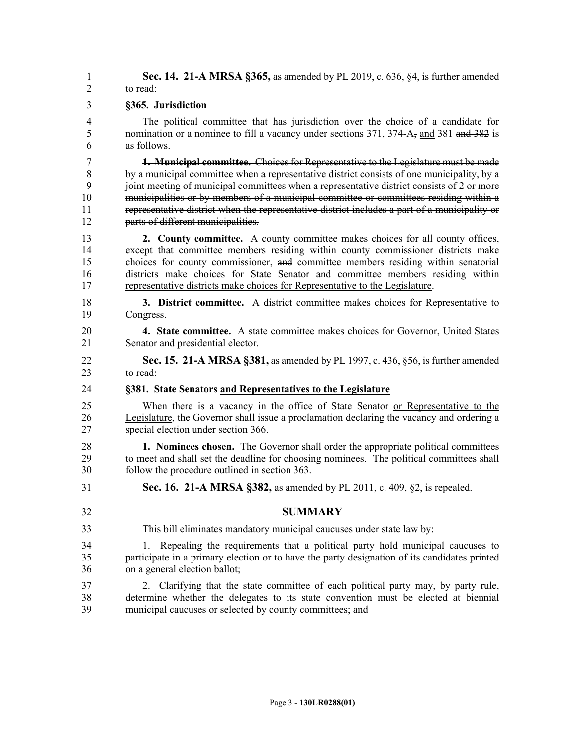1 **Sec. 14. 21-A MRSA §365,** as amended by PL 2019, c. 636, §4, is further amended 2 to read:

#### 3 **§365. Jurisdiction**

4 The political committee that has jurisdiction over the choice of a candidate for 5 nomination or a nominee to fill a vacancy under sections 371, 374-A<sub>5</sub> and 381 and 382 is 6 as follows.

7 **1. Municipal committee.** Choices for Representative to the Legislature must be made 8 by a municipal committee when a representative district consists of one municipality, by a 9 joint meeting of municipal committees when a representative district consists of 2 or more 10 municipalities or by members of a municipal committee or committees residing within a 11 representative district when the representative district includes a part of a municipality or 12 **parts of different municipalities.** 

13 **2. County committee.** A county committee makes choices for all county offices, 14 except that committee members residing within county commissioner districts make 15 choices for county commissioner, and committee members residing within senatorial 16 districts make choices for State Senator and committee members residing within 17 representative districts make choices for Representative to the Legislature.

18 **3. District committee.** A district committee makes choices for Representative to 19 Congress.

20 **4. State committee.** A state committee makes choices for Governor, United States 21 Senator and presidential elector.

22 **Sec. 15. 21-A MRSA §381,** as amended by PL 1997, c. 436, §56, is further amended 23 to read:

#### 24 **§381. State Senators and Representatives to the Legislature**

25 When there is a vacancy in the office of State Senator or Representative to the 26 Legislature, the Governor shall issue a proclamation declaring the vacancy and ordering a 27 special election under section 366.

28 **1. Nominees chosen.** The Governor shall order the appropriate political committees 29 to meet and shall set the deadline for choosing nominees. The political committees shall 30 follow the procedure outlined in section 363.

- 31 **Sec. 16. 21-A MRSA §382,** as amended by PL 2011, c. 409, §2, is repealed.
- 

32 **SUMMARY**

- 33 This bill eliminates mandatory municipal caucuses under state law by:
- 34 1. Repealing the requirements that a political party hold municipal caucuses to 35 participate in a primary election or to have the party designation of its candidates printed 36 on a general election ballot;
- 37 2. Clarifying that the state committee of each political party may, by party rule, 38 determine whether the delegates to its state convention must be elected at biennial 39 municipal caucuses or selected by county committees; and